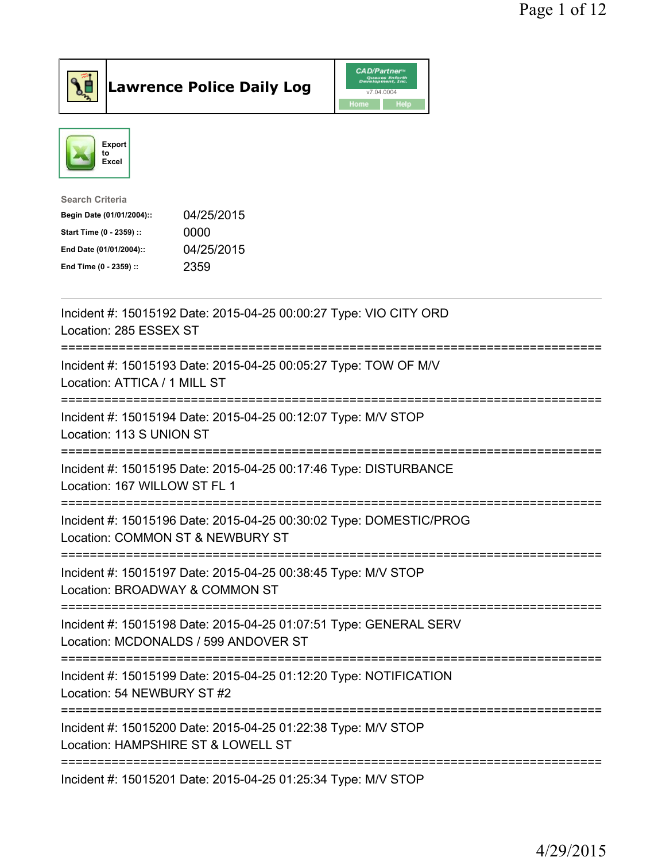



| <b>Search Criteria</b>    |            |
|---------------------------|------------|
| Begin Date (01/01/2004):: | 04/25/2015 |
| Start Time (0 - 2359) ::  | 0000       |
| End Date (01/01/2004)::   | 04/25/2015 |
| End Time (0 - 2359) ::    | 2359       |
|                           |            |

| Incident #: 15015192 Date: 2015-04-25 00:00:27 Type: VIO CITY ORD<br>Location: 285 ESSEX ST                                                                                  |
|------------------------------------------------------------------------------------------------------------------------------------------------------------------------------|
| Incident #: 15015193 Date: 2015-04-25 00:05:27 Type: TOW OF M/V<br>Location: ATTICA / 1 MILL ST                                                                              |
| Incident #: 15015194 Date: 2015-04-25 00:12:07 Type: M/V STOP<br>Location: 113 S UNION ST                                                                                    |
| Incident #: 15015195 Date: 2015-04-25 00:17:46 Type: DISTURBANCE<br>Location: 167 WILLOW ST FL 1                                                                             |
| Incident #: 15015196 Date: 2015-04-25 00:30:02 Type: DOMESTIC/PROG<br>Location: COMMON ST & NEWBURY ST<br>---------------------------                                        |
| Incident #: 15015197 Date: 2015-04-25 00:38:45 Type: M/V STOP<br>Location: BROADWAY & COMMON ST<br>============================<br>==================================        |
| Incident #: 15015198 Date: 2015-04-25 01:07:51 Type: GENERAL SERV<br>Location: MCDONALDS / 599 ANDOVER ST                                                                    |
| ================================<br>=====================================<br>Incident #: 15015199 Date: 2015-04-25 01:12:20 Type: NOTIFICATION<br>Location: 54 NEWBURY ST #2 |
| Incident #: 15015200 Date: 2015-04-25 01:22:38 Type: M/V STOP<br>Location: HAMPSHIRE ST & LOWELL ST                                                                          |
| Incident #: 15015201 Date: 2015-04-25 01:25:34 Type: M/V STOP                                                                                                                |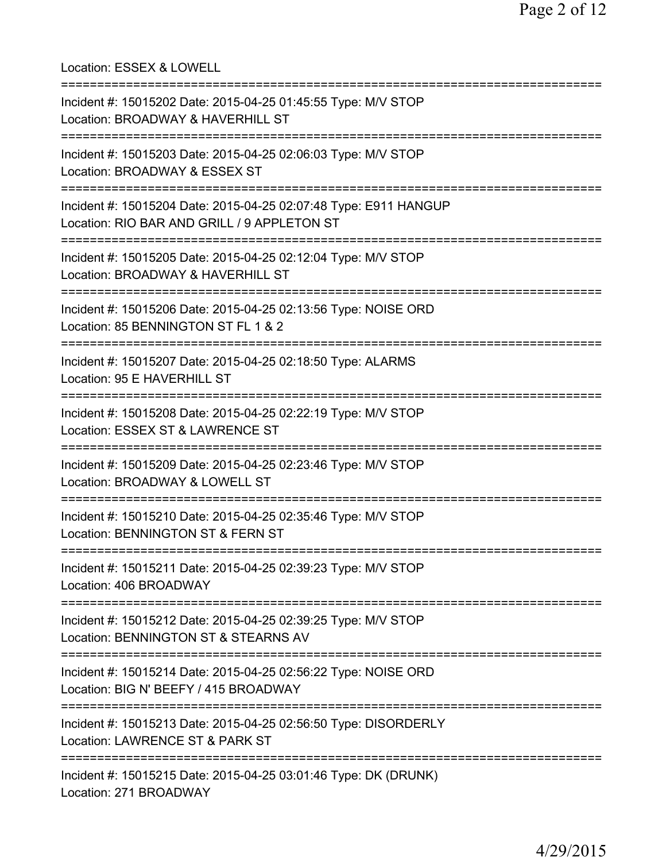Location: ESSEX & LOWELL =========================================================================== Incident #: 15015202 Date: 2015-04-25 01:45:55 Type: M/V STOP Location: BROADWAY & HAVERHILL ST =========================================================================== Incident #: 15015203 Date: 2015-04-25 02:06:03 Type: M/V STOP Location: BROADWAY & ESSEX ST =========================================================================== Incident #: 15015204 Date: 2015-04-25 02:07:48 Type: E911 HANGUP Location: RIO BAR AND GRILL / 9 APPLETON ST =========================================================================== Incident #: 15015205 Date: 2015-04-25 02:12:04 Type: M/V STOP Location: BROADWAY & HAVERHILL ST =========================================================================== Incident #: 15015206 Date: 2015-04-25 02:13:56 Type: NOISE ORD Location: 85 BENNINGTON ST FL 1 & 2 =========================================================================== Incident #: 15015207 Date: 2015-04-25 02:18:50 Type: ALARMS Location: 95 E HAVERHILL ST =========================================================================== Incident #: 15015208 Date: 2015-04-25 02:22:19 Type: M/V STOP Location: ESSEX ST & LAWRENCE ST =========================================================================== Incident #: 15015209 Date: 2015-04-25 02:23:46 Type: M/V STOP Location: BROADWAY & LOWELL ST =========================================================================== Incident #: 15015210 Date: 2015-04-25 02:35:46 Type: M/V STOP Location: BENNINGTON ST & FERN ST =========================================================================== Incident #: 15015211 Date: 2015-04-25 02:39:23 Type: M/V STOP Location: 406 BROADWAY =========================================================================== Incident #: 15015212 Date: 2015-04-25 02:39:25 Type: M/V STOP Location: BENNINGTON ST & STEARNS AV =========================================================================== Incident #: 15015214 Date: 2015-04-25 02:56:22 Type: NOISE ORD Location: BIG N' BEEFY / 415 BROADWAY =========================================================================== Incident #: 15015213 Date: 2015-04-25 02:56:50 Type: DISORDERLY Location: LAWRENCE ST & PARK ST =========================================================================== Incident #: 15015215 Date: 2015-04-25 03:01:46 Type: DK (DRUNK) Location: 271 BROADWAY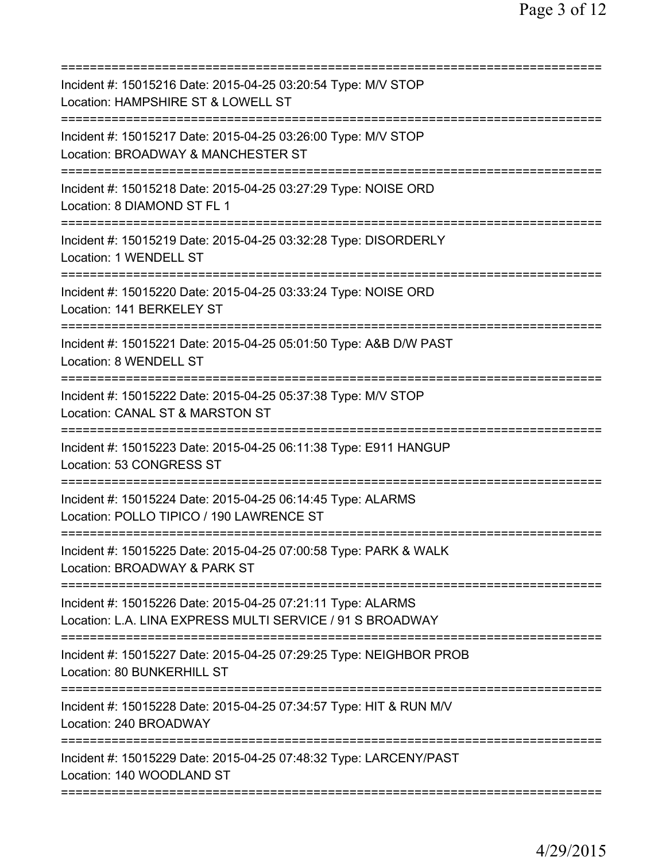| Incident #: 15015216 Date: 2015-04-25 03:20:54 Type: M/V STOP<br>Location: HAMPSHIRE ST & LOWELL ST                                                   |
|-------------------------------------------------------------------------------------------------------------------------------------------------------|
| Incident #: 15015217 Date: 2015-04-25 03:26:00 Type: M/V STOP<br>Location: BROADWAY & MANCHESTER ST<br>====================                           |
| Incident #: 15015218 Date: 2015-04-25 03:27:29 Type: NOISE ORD<br>Location: 8 DIAMOND ST FL 1                                                         |
| Incident #: 15015219 Date: 2015-04-25 03:32:28 Type: DISORDERLY<br>Location: 1 WENDELL ST                                                             |
| Incident #: 15015220 Date: 2015-04-25 03:33:24 Type: NOISE ORD<br>Location: 141 BERKELEY ST                                                           |
| --------------------------------<br>Incident #: 15015221 Date: 2015-04-25 05:01:50 Type: A&B D/W PAST<br>Location: 8 WENDELL ST                       |
| Incident #: 15015222 Date: 2015-04-25 05:37:38 Type: M/V STOP<br>Location: CANAL ST & MARSTON ST                                                      |
| Incident #: 15015223 Date: 2015-04-25 06:11:38 Type: E911 HANGUP<br>Location: 53 CONGRESS ST                                                          |
| Incident #: 15015224 Date: 2015-04-25 06:14:45 Type: ALARMS<br>Location: POLLO TIPICO / 190 LAWRENCE ST                                               |
| Incident #: 15015225 Date: 2015-04-25 07:00:58 Type: PARK & WALK<br>Location: BROADWAY & PARK ST                                                      |
| =========================<br>Incident #: 15015226 Date: 2015-04-25 07:21:11 Type: ALARMS<br>Location: L.A. LINA EXPRESS MULTI SERVICE / 91 S BROADWAY |
| Incident #: 15015227 Date: 2015-04-25 07:29:25 Type: NEIGHBOR PROB<br>Location: 80 BUNKERHILL ST                                                      |
| Incident #: 15015228 Date: 2015-04-25 07:34:57 Type: HIT & RUN M/V<br>Location: 240 BROADWAY                                                          |
| Incident #: 15015229 Date: 2015-04-25 07:48:32 Type: LARCENY/PAST<br>Location: 140 WOODLAND ST                                                        |
|                                                                                                                                                       |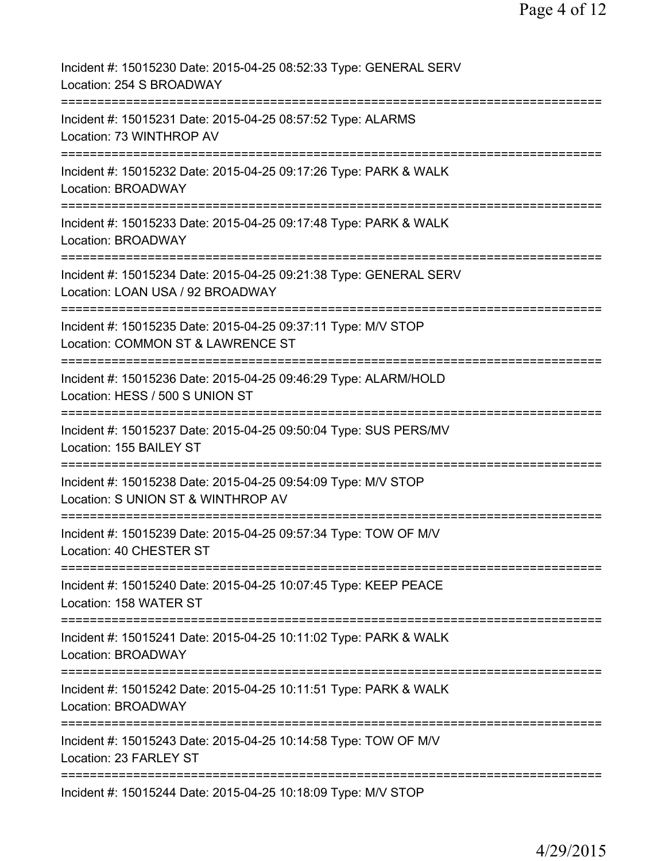| Incident #: 15015230 Date: 2015-04-25 08:52:33 Type: GENERAL SERV<br>Location: 254 S BROADWAY                     |
|-------------------------------------------------------------------------------------------------------------------|
| Incident #: 15015231 Date: 2015-04-25 08:57:52 Type: ALARMS<br>Location: 73 WINTHROP AV                           |
| Incident #: 15015232 Date: 2015-04-25 09:17:26 Type: PARK & WALK<br><b>Location: BROADWAY</b>                     |
| Incident #: 15015233 Date: 2015-04-25 09:17:48 Type: PARK & WALK<br><b>Location: BROADWAY</b>                     |
| Incident #: 15015234 Date: 2015-04-25 09:21:38 Type: GENERAL SERV<br>Location: LOAN USA / 92 BROADWAY             |
| Incident #: 15015235 Date: 2015-04-25 09:37:11 Type: M/V STOP<br>Location: COMMON ST & LAWRENCE ST                |
| Incident #: 15015236 Date: 2015-04-25 09:46:29 Type: ALARM/HOLD<br>Location: HESS / 500 S UNION ST                |
| Incident #: 15015237 Date: 2015-04-25 09:50:04 Type: SUS PERS/MV<br>Location: 155 BAILEY ST                       |
| ----------<br>Incident #: 15015238 Date: 2015-04-25 09:54:09 Type: M/V STOP<br>Location: S UNION ST & WINTHROP AV |
| Incident #: 15015239 Date: 2015-04-25 09:57:34 Type: TOW OF M/V<br>Location: 40 CHESTER ST                        |
| Incident #: 15015240 Date: 2015-04-25 10:07:45 Type: KEEP PEACE<br>Location: 158 WATER ST                         |
| Incident #: 15015241 Date: 2015-04-25 10:11:02 Type: PARK & WALK<br><b>Location: BROADWAY</b>                     |
| Incident #: 15015242 Date: 2015-04-25 10:11:51 Type: PARK & WALK<br><b>Location: BROADWAY</b>                     |
| Incident #: 15015243 Date: 2015-04-25 10:14:58 Type: TOW OF M/V<br>Location: 23 FARLEY ST                         |
| Incident #: 15015244 Date: 2015-04-25 10:18:09 Type: M/V STOP                                                     |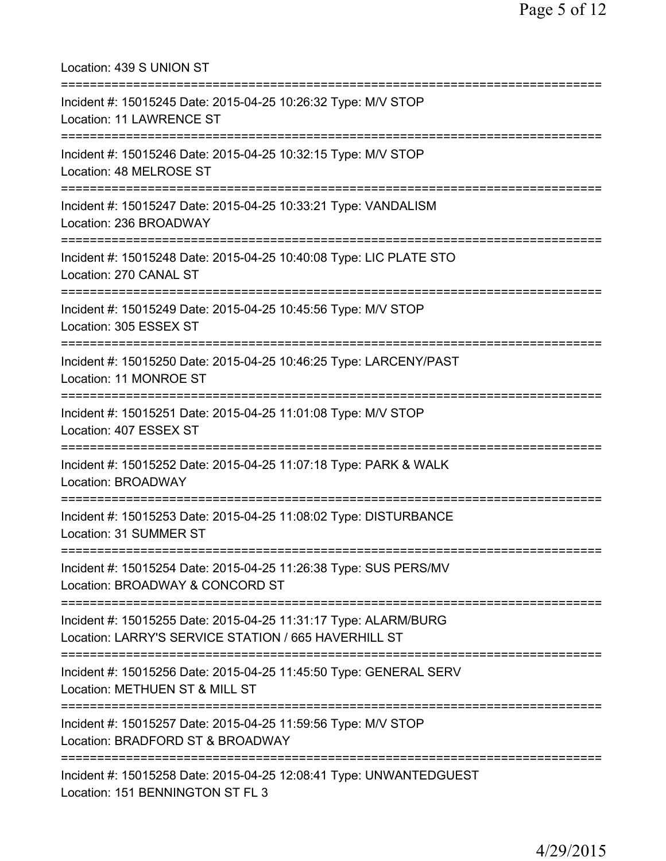Location: 439 S UNION ST =========================================================================== Incident #: 15015245 Date: 2015-04-25 10:26:32 Type: M/V STOP Location: 11 LAWRENCE ST =========================================================================== Incident #: 15015246 Date: 2015-04-25 10:32:15 Type: M/V STOP Location: 48 MELROSE ST =========================================================================== Incident #: 15015247 Date: 2015-04-25 10:33:21 Type: VANDALISM Location: 236 BROADWAY =========================================================================== Incident #: 15015248 Date: 2015-04-25 10:40:08 Type: LIC PLATE STO Location: 270 CANAL ST =========================================================================== Incident #: 15015249 Date: 2015-04-25 10:45:56 Type: M/V STOP Location: 305 ESSEX ST =========================================================================== Incident #: 15015250 Date: 2015-04-25 10:46:25 Type: LARCENY/PAST Location: 11 MONROE ST =========================================================================== Incident #: 15015251 Date: 2015-04-25 11:01:08 Type: M/V STOP Location: 407 ESSEX ST =========================================================================== Incident #: 15015252 Date: 2015-04-25 11:07:18 Type: PARK & WALK Location: BROADWAY =========================================================================== Incident #: 15015253 Date: 2015-04-25 11:08:02 Type: DISTURBANCE Location: 31 SUMMER ST =========================================================================== Incident #: 15015254 Date: 2015-04-25 11:26:38 Type: SUS PERS/MV Location: BROADWAY & CONCORD ST =========================================================================== Incident #: 15015255 Date: 2015-04-25 11:31:17 Type: ALARM/BURG Location: LARRY'S SERVICE STATION / 665 HAVERHILL ST =========================================================================== Incident #: 15015256 Date: 2015-04-25 11:45:50 Type: GENERAL SERV Location: METHUEN ST & MILL ST =========================================================================== Incident #: 15015257 Date: 2015-04-25 11:59:56 Type: M/V STOP Location: BRADFORD ST & BROADWAY =========================================================================== Incident #: 15015258 Date: 2015-04-25 12:08:41 Type: UNWANTEDGUEST Location: 151 BENNINGTON ST FL 3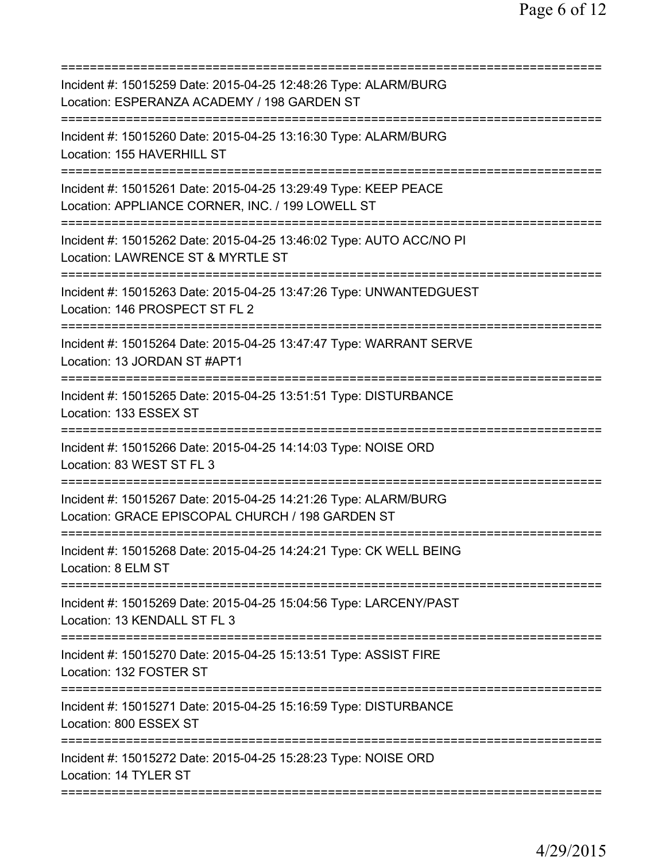| Incident #: 15015259 Date: 2015-04-25 12:48:26 Type: ALARM/BURG<br>Location: ESPERANZA ACADEMY / 198 GARDEN ST                              |
|---------------------------------------------------------------------------------------------------------------------------------------------|
| Incident #: 15015260 Date: 2015-04-25 13:16:30 Type: ALARM/BURG<br>Location: 155 HAVERHILL ST                                               |
| Incident #: 15015261 Date: 2015-04-25 13:29:49 Type: KEEP PEACE<br>Location: APPLIANCE CORNER, INC. / 199 LOWELL ST                         |
| Incident #: 15015262 Date: 2015-04-25 13:46:02 Type: AUTO ACC/NO PI<br>Location: LAWRENCE ST & MYRTLE ST                                    |
| Incident #: 15015263 Date: 2015-04-25 13:47:26 Type: UNWANTEDGUEST<br>Location: 146 PROSPECT ST FL 2                                        |
| Incident #: 15015264 Date: 2015-04-25 13:47:47 Type: WARRANT SERVE<br>Location: 13 JORDAN ST #APT1                                          |
| Incident #: 15015265 Date: 2015-04-25 13:51:51 Type: DISTURBANCE<br>Location: 133 ESSEX ST                                                  |
| Incident #: 15015266 Date: 2015-04-25 14:14:03 Type: NOISE ORD<br>Location: 83 WEST ST FL 3                                                 |
| ====================<br>Incident #: 15015267 Date: 2015-04-25 14:21:26 Type: ALARM/BURG<br>Location: GRACE EPISCOPAL CHURCH / 198 GARDEN ST |
| Incident #: 15015268 Date: 2015-04-25 14:24:21 Type: CK WELL BEING<br>Location: 8 ELM ST                                                    |
| Incident #: 15015269 Date: 2015-04-25 15:04:56 Type: LARCENY/PAST<br>Location: 13 KENDALL ST FL 3                                           |
| Incident #: 15015270 Date: 2015-04-25 15:13:51 Type: ASSIST FIRE<br>Location: 132 FOSTER ST                                                 |
| Incident #: 15015271 Date: 2015-04-25 15:16:59 Type: DISTURBANCE<br>Location: 800 ESSEX ST                                                  |
| Incident #: 15015272 Date: 2015-04-25 15:28:23 Type: NOISE ORD<br>Location: 14 TYLER ST                                                     |
|                                                                                                                                             |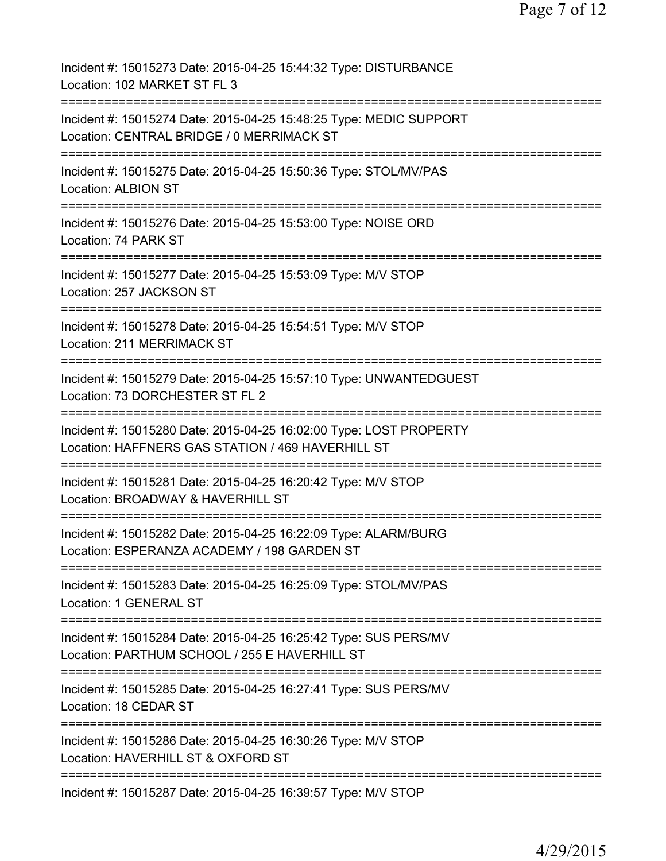| Incident #: 15015273 Date: 2015-04-25 15:44:32 Type: DISTURBANCE<br>Location: 102 MARKET ST FL 3                                                                                                |
|-------------------------------------------------------------------------------------------------------------------------------------------------------------------------------------------------|
| Incident #: 15015274 Date: 2015-04-25 15:48:25 Type: MEDIC SUPPORT<br>Location: CENTRAL BRIDGE / 0 MERRIMACK ST<br>:=====================                                                       |
| Incident #: 15015275 Date: 2015-04-25 15:50:36 Type: STOL/MV/PAS<br>Location: ALBION ST                                                                                                         |
| Incident #: 15015276 Date: 2015-04-25 15:53:00 Type: NOISE ORD<br>Location: 74 PARK ST                                                                                                          |
| Incident #: 15015277 Date: 2015-04-25 15:53:09 Type: M/V STOP<br>Location: 257 JACKSON ST                                                                                                       |
| Incident #: 15015278 Date: 2015-04-25 15:54:51 Type: M/V STOP<br>Location: 211 MERRIMACK ST                                                                                                     |
| Incident #: 15015279 Date: 2015-04-25 15:57:10 Type: UNWANTEDGUEST<br>Location: 73 DORCHESTER ST FL 2                                                                                           |
| Incident #: 15015280 Date: 2015-04-25 16:02:00 Type: LOST PROPERTY<br>Location: HAFFNERS GAS STATION / 469 HAVERHILL ST                                                                         |
| ;==================================<br>Incident #: 15015281 Date: 2015-04-25 16:20:42 Type: M/V STOP<br>Location: BROADWAY & HAVERHILL ST                                                       |
| Incident #: 15015282 Date: 2015-04-25 16:22:09 Type: ALARM/BURG<br>Location: ESPERANZA ACADEMY / 198 GARDEN ST                                                                                  |
| Incident #: 15015283 Date: 2015-04-25 16:25:09 Type: STOL/MV/PAS<br>Location: 1 GENERAL ST                                                                                                      |
| Incident #: 15015284 Date: 2015-04-25 16:25:42 Type: SUS PERS/MV<br>Location: PARTHUM SCHOOL / 255 E HAVERHILL ST<br>=====================================<br>================================= |
| Incident #: 15015285 Date: 2015-04-25 16:27:41 Type: SUS PERS/MV<br>Location: 18 CEDAR ST                                                                                                       |
| Incident #: 15015286 Date: 2015-04-25 16:30:26 Type: M/V STOP<br>Location: HAVERHILL ST & OXFORD ST                                                                                             |
| Incident #: 15015287 Date: 2015-04-25 16:39:57 Type: M/V STOP                                                                                                                                   |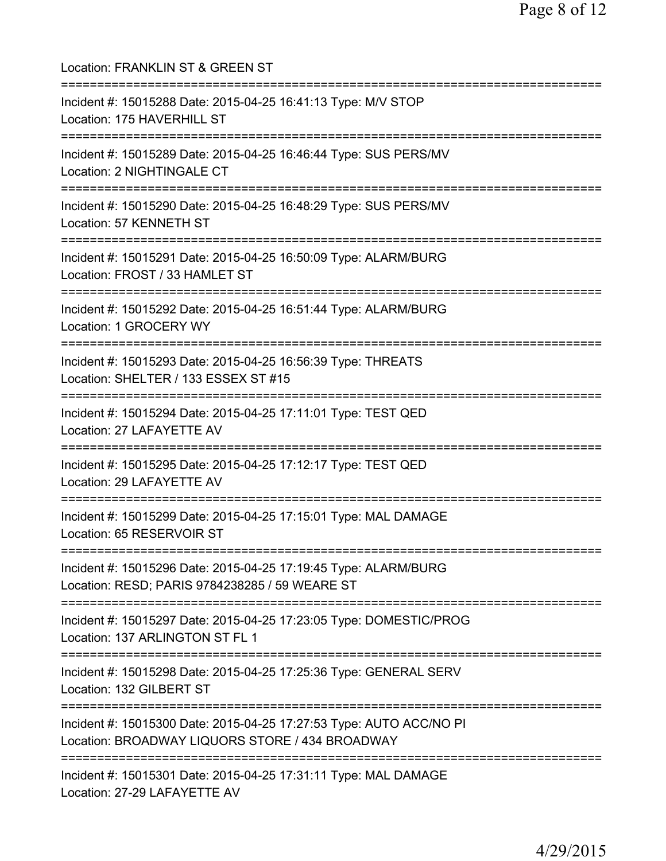| Location: FRANKLIN ST & GREEN ST<br>===========================                                                                        |
|----------------------------------------------------------------------------------------------------------------------------------------|
| Incident #: 15015288 Date: 2015-04-25 16:41:13 Type: M/V STOP<br>Location: 175 HAVERHILL ST<br>================================        |
| Incident #: 15015289 Date: 2015-04-25 16:46:44 Type: SUS PERS/MV<br>Location: 2 NIGHTINGALE CT                                         |
| Incident #: 15015290 Date: 2015-04-25 16:48:29 Type: SUS PERS/MV<br>Location: 57 KENNETH ST                                            |
| ======================<br>Incident #: 15015291 Date: 2015-04-25 16:50:09 Type: ALARM/BURG<br>Location: FROST / 33 HAMLET ST            |
| =====================<br>Incident #: 15015292 Date: 2015-04-25 16:51:44 Type: ALARM/BURG<br>Location: 1 GROCERY WY                     |
| Incident #: 15015293 Date: 2015-04-25 16:56:39 Type: THREATS<br>Location: SHELTER / 133 ESSEX ST #15<br>============================== |
| Incident #: 15015294 Date: 2015-04-25 17:11:01 Type: TEST QED<br>Location: 27 LAFAYETTE AV                                             |
| Incident #: 15015295 Date: 2015-04-25 17:12:17 Type: TEST QED<br>Location: 29 LAFAYETTE AV                                             |
| Incident #: 15015299 Date: 2015-04-25 17:15:01 Type: MAL DAMAGE<br>Location: 65 RESERVOIR ST                                           |
| Incident #: 15015296 Date: 2015-04-25 17:19:45 Type: ALARM/BURG<br>Location: RESD; PARIS 9784238285 / 59 WEARE ST                      |
| Incident #: 15015297 Date: 2015-04-25 17:23:05 Type: DOMESTIC/PROG<br>Location: 137 ARLINGTON ST FL 1                                  |
| Incident #: 15015298 Date: 2015-04-25 17:25:36 Type: GENERAL SERV<br>Location: 132 GILBERT ST                                          |
| =========<br>Incident #: 15015300 Date: 2015-04-25 17:27:53 Type: AUTO ACC/NO PI<br>Location: BROADWAY LIQUORS STORE / 434 BROADWAY    |
| Incident #: 15015301 Date: 2015-04-25 17:31:11 Type: MAL DAMAGE<br>Location: 27-29 LAFAYETTE AV                                        |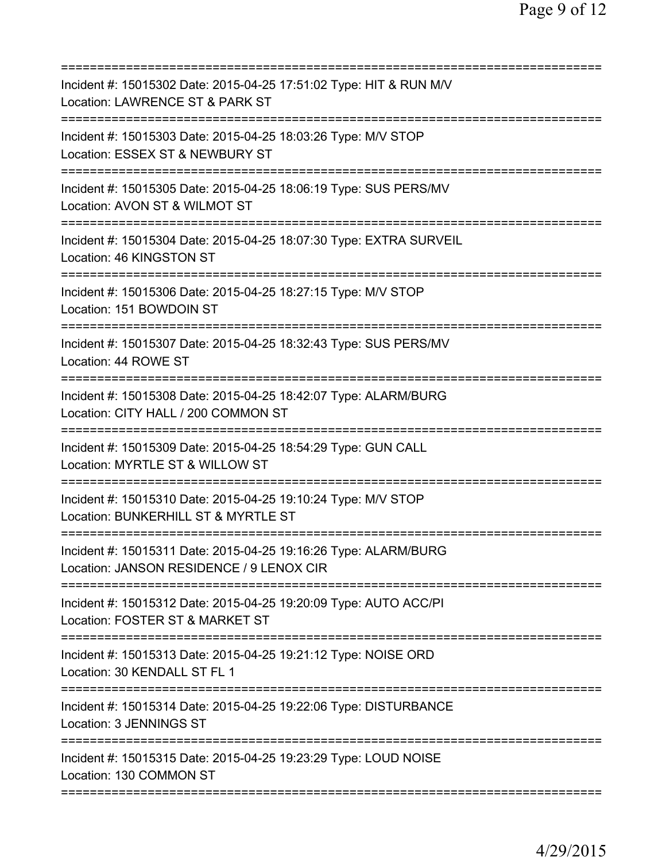| Incident #: 15015302 Date: 2015-04-25 17:51:02 Type: HIT & RUN M/V<br>Location: LAWRENCE ST & PARK ST                                        |
|----------------------------------------------------------------------------------------------------------------------------------------------|
| Incident #: 15015303 Date: 2015-04-25 18:03:26 Type: M/V STOP<br>Location: ESSEX ST & NEWBURY ST                                             |
| Incident #: 15015305 Date: 2015-04-25 18:06:19 Type: SUS PERS/MV<br>Location: AVON ST & WILMOT ST                                            |
| Incident #: 15015304 Date: 2015-04-25 18:07:30 Type: EXTRA SURVEIL<br>Location: 46 KINGSTON ST                                               |
| Incident #: 15015306 Date: 2015-04-25 18:27:15 Type: M/V STOP<br>Location: 151 BOWDOIN ST                                                    |
| Incident #: 15015307 Date: 2015-04-25 18:32:43 Type: SUS PERS/MV<br>Location: 44 ROWE ST                                                     |
| ===============<br>Incident #: 15015308 Date: 2015-04-25 18:42:07 Type: ALARM/BURG<br>Location: CITY HALL / 200 COMMON ST                    |
| Incident #: 15015309 Date: 2015-04-25 18:54:29 Type: GUN CALL<br>Location: MYRTLE ST & WILLOW ST                                             |
| Incident #: 15015310 Date: 2015-04-25 19:10:24 Type: M/V STOP<br>Location: BUNKERHILL ST & MYRTLE ST                                         |
| Incident #: 15015311 Date: 2015-04-25 19:16:26 Type: ALARM/BURG<br>Location: JANSON RESIDENCE / 9 LENOX CIR                                  |
| =====================================<br>Incident #: 15015312 Date: 2015-04-25 19:20:09 Type: AUTO ACC/PI<br>Location: FOSTER ST & MARKET ST |
| Incident #: 15015313 Date: 2015-04-25 19:21:12 Type: NOISE ORD<br>Location: 30 KENDALL ST FL 1                                               |
| Incident #: 15015314 Date: 2015-04-25 19:22:06 Type: DISTURBANCE<br>Location: 3 JENNINGS ST                                                  |
| Incident #: 15015315 Date: 2015-04-25 19:23:29 Type: LOUD NOISE<br>Location: 130 COMMON ST                                                   |
|                                                                                                                                              |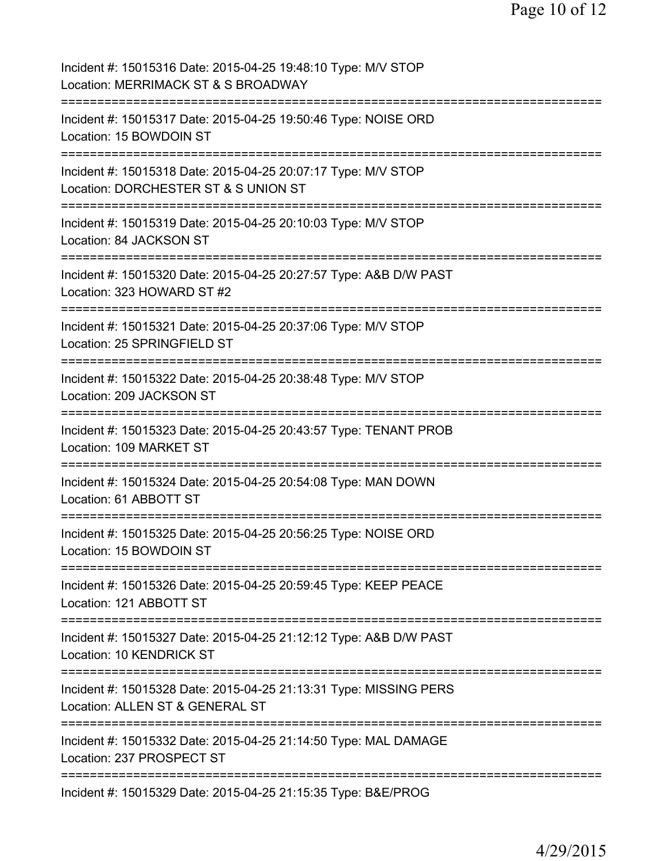| Incident #: 15015316 Date: 2015-04-25 19:48:10 Type: M/V STOP<br>Location: MERRIMACK ST & S BROADWAY                 |
|----------------------------------------------------------------------------------------------------------------------|
| Incident #: 15015317 Date: 2015-04-25 19:50:46 Type: NOISE ORD<br>Location: 15 BOWDOIN ST                            |
| Incident #: 15015318 Date: 2015-04-25 20:07:17 Type: M/V STOP<br>Location: DORCHESTER ST & S UNION ST                |
| :=======================<br>Incident #: 15015319 Date: 2015-04-25 20:10:03 Type: M/V STOP<br>Location: 84 JACKSON ST |
| Incident #: 15015320 Date: 2015-04-25 20:27:57 Type: A&B D/W PAST<br>Location: 323 HOWARD ST #2                      |
| Incident #: 15015321 Date: 2015-04-25 20:37:06 Type: M/V STOP<br>Location: 25 SPRINGFIELD ST                         |
| Incident #: 15015322 Date: 2015-04-25 20:38:48 Type: M/V STOP<br>Location: 209 JACKSON ST                            |
| Incident #: 15015323 Date: 2015-04-25 20:43:57 Type: TENANT PROB<br>Location: 109 MARKET ST                          |
| Incident #: 15015324 Date: 2015-04-25 20:54:08 Type: MAN DOWN<br>Location: 61 ABBOTT ST                              |
| Incident #: 15015325 Date: 2015-04-25 20:56:25 Type: NOISE ORD<br>Location: 15 BOWDOIN ST                            |
| Incident #: 15015326 Date: 2015-04-25 20:59:45 Type: KEEP PEACE<br>Location: 121 ABBOTT ST                           |
| Incident #: 15015327 Date: 2015-04-25 21:12:12 Type: A&B D/W PAST<br><b>Location: 10 KENDRICK ST</b>                 |
| Incident #: 15015328 Date: 2015-04-25 21:13:31 Type: MISSING PERS<br>Location: ALLEN ST & GENERAL ST                 |
| Incident #: 15015332 Date: 2015-04-25 21:14:50 Type: MAL DAMAGE<br>Location: 237 PROSPECT ST                         |
| Incident #: 15015329 Date: 2015-04-25 21:15:35 Type: B&E/PROG                                                        |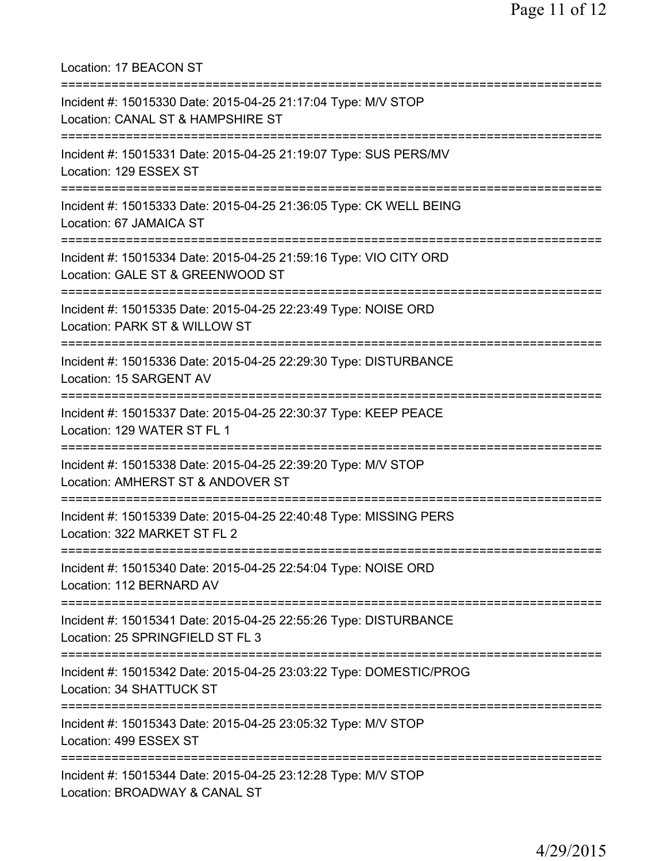Location: 17 BEACON ST =========================================================================== Incident #: 15015330 Date: 2015-04-25 21:17:04 Type: M/V STOP Location: CANAL ST & HAMPSHIRE ST =========================================================================== Incident #: 15015331 Date: 2015-04-25 21:19:07 Type: SUS PERS/MV Location: 129 ESSEX ST =========================================================================== Incident #: 15015333 Date: 2015-04-25 21:36:05 Type: CK WELL BEING Location: 67 JAMAICA ST =========================================================================== Incident #: 15015334 Date: 2015-04-25 21:59:16 Type: VIO CITY ORD Location: GALE ST & GREENWOOD ST =========================================================================== Incident #: 15015335 Date: 2015-04-25 22:23:49 Type: NOISE ORD Location: PARK ST & WILLOW ST =========================================================================== Incident #: 15015336 Date: 2015-04-25 22:29:30 Type: DISTURBANCE Location: 15 SARGENT AV =========================================================================== Incident #: 15015337 Date: 2015-04-25 22:30:37 Type: KEEP PEACE Location: 129 WATER ST FL 1 =========================================================================== Incident #: 15015338 Date: 2015-04-25 22:39:20 Type: M/V STOP Location: AMHERST ST & ANDOVER ST =========================================================================== Incident #: 15015339 Date: 2015-04-25 22:40:48 Type: MISSING PERS Location: 322 MARKET ST FL 2 =========================================================================== Incident #: 15015340 Date: 2015-04-25 22:54:04 Type: NOISE ORD Location: 112 BERNARD AV =========================================================================== Incident #: 15015341 Date: 2015-04-25 22:55:26 Type: DISTURBANCE Location: 25 SPRINGFIELD ST FL 3 =========================================================================== Incident #: 15015342 Date: 2015-04-25 23:03:22 Type: DOMESTIC/PROG Location: 34 SHATTUCK ST =========================================================================== Incident #: 15015343 Date: 2015-04-25 23:05:32 Type: M/V STOP Location: 499 ESSEX ST =========================================================================== Incident #: 15015344 Date: 2015-04-25 23:12:28 Type: M/V STOP Location: BROADWAY & CANAL ST